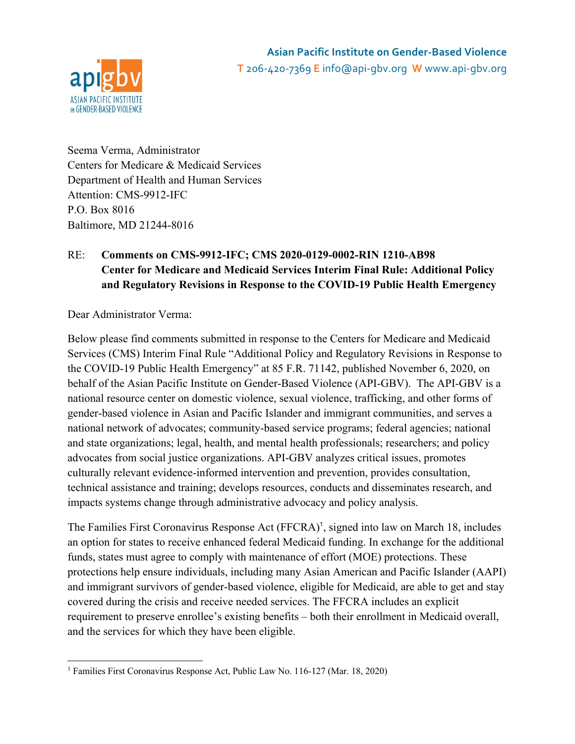

Seema Verma, Administrator Centers for Medicare & Medicaid Services Department of Health and Human Services Attention: CMS-9912-IFC P.O. Box 8016 Baltimore, MD 21244-8016

# RE: **Comments on CMS-9912-IFC; CMS 2020-0129-0002-RIN 1210-AB98 Center for Medicare and Medicaid Services Interim Final Rule: Additional Policy and Regulatory Revisions in Response to the COVID-19 Public Health Emergency**

Dear Administrator Verma:

Below please find comments submitted in response to the Centers for Medicare and Medicaid Services (CMS) Interim Final Rule "Additional Policy and Regulatory Revisions in Response to the COVID-19 Public Health Emergency" at 85 F.R. 71142, published November 6, 2020, on behalf of the Asian Pacific Institute on Gender-Based Violence (API-GBV). The API-GBV is a national resource center on domestic violence, sexual violence, trafficking, and other forms of gender-based violence in Asian and Pacific Islander and immigrant communities, and serves a national network of advocates; community-based service programs; federal agencies; national and state organizations; legal, health, and mental health professionals; researchers; and policy advocates from social justice organizations. API-GBV analyzes critical issues, promotes culturally relevant evidence-informed intervention and prevention, provides consultation, technical assistance and training; develops resources, conducts and disseminates research, and impacts systems change through administrative advocacy and policy analysis.

The Families First Coronavirus Response Act (FFCRA)<sup>1</sup>, signed into law on March 18, includes an option for states to receive enhanced federal Medicaid funding. In exchange for the additional funds, states must agree to comply with maintenance of effort (MOE) protections. These protections help ensure individuals, including many Asian American and Pacific Islander (AAPI) and immigrant survivors of gender-based violence, eligible for Medicaid, are able to get and stay covered during the crisis and receive needed services. The FFCRA includes an explicit requirement to preserve enrollee's existing benefits – both their enrollment in Medicaid overall, and the services for which they have been eligible.

<sup>&</sup>lt;sup>1</sup> Families First Coronavirus Response Act, Public Law No. 116-127 (Mar. 18, 2020)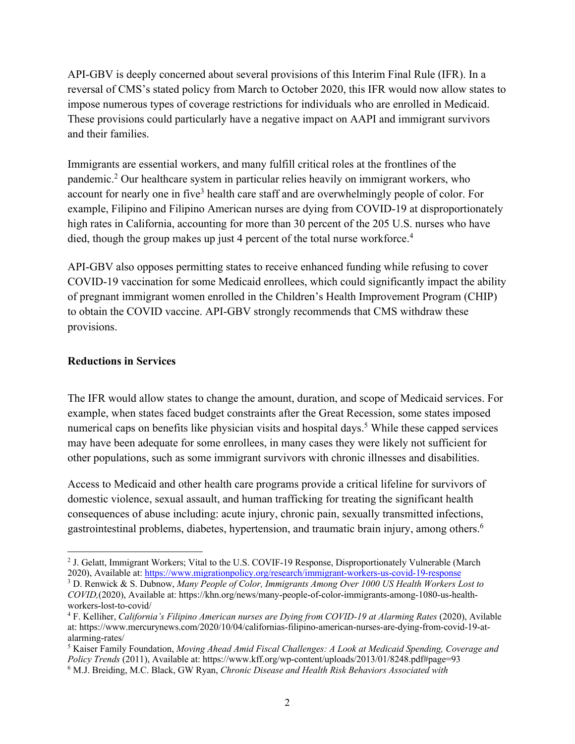API-GBV is deeply concerned about several provisions of this Interim Final Rule (IFR). In a reversal of CMS's stated policy from March to October 2020, this IFR would now allow states to impose numerous types of coverage restrictions for individuals who are enrolled in Medicaid. These provisions could particularly have a negative impact on AAPI and immigrant survivors and their families.

Immigrants are essential workers, and many fulfill critical roles at the frontlines of the pandemic. <sup>2</sup> Our healthcare system in particular relies heavily on immigrant workers, who account for nearly one in five<sup>3</sup> health care staff and are overwhelmingly people of color. For example, Filipino and Filipino American nurses are dying from COVID-19 at disproportionately high rates in California, accounting for more than 30 percent of the 205 U.S. nurses who have died, though the group makes up just 4 percent of the total nurse workforce. 4

API-GBV also opposes permitting states to receive enhanced funding while refusing to cover COVID-19 vaccination for some Medicaid enrollees, which could significantly impact the ability of pregnant immigrant women enrolled in the Children's Health Improvement Program (CHIP) to obtain the COVID vaccine. API-GBV strongly recommends that CMS withdraw these provisions.

#### **Reductions in Services**

The IFR would allow states to change the amount, duration, and scope of Medicaid services. For example, when states faced budget constraints after the Great Recession, some states imposed numerical caps on benefits like physician visits and hospital days.<sup>5</sup> While these capped services may have been adequate for some enrollees, in many cases they were likely not sufficient for other populations, such as some immigrant survivors with chronic illnesses and disabilities.

Access to Medicaid and other health care programs provide a critical lifeline for survivors of domestic violence, sexual assault, and human trafficking for treating the significant health consequences of abuse including: acute injury, chronic pain, sexually transmitted infections, gastrointestinal problems, diabetes, hypertension, and traumatic brain injury, among others.6

<sup>2</sup> J. Gelatt, Immigrant Workers; Vital to the U.S. COVIF-19 Response, Disproportionately Vulnerable (March 2020), Available at: https://www.migrationpolicy.org/research/immigrant-workers-us-covid-19-response

<sup>3</sup> D. Renwick & S. Dubnow, *Many People of Color, Immigrants Among Over 1000 US Health Workers Lost to COVID,*(2020), Available at: https://khn.org/news/many-people-of-color-immigrants-among-1080-us-healthworkers-lost-to-covid/

<sup>4</sup> F. Kelliher, *California's Filipino American nurses are Dying from COVID-19 at Alarming Rates* (2020), Avilable at: https://www.mercurynews.com/2020/10/04/californias-filipino-american-nurses-are-dying-from-covid-19-atalarming-rates/

<sup>5</sup> Kaiser Family Foundation, *Moving Ahead Amid Fiscal Challenges: A Look at Medicaid Spending, Coverage and Policy Trends* (2011), Available at: https://www.kff.org/wp-content/uploads/2013/01/8248.pdf#page=93

<sup>6</sup> M.J. Breiding, M.C. Black, GW Ryan, *Chronic Disease and Health Risk Behaviors Associated with*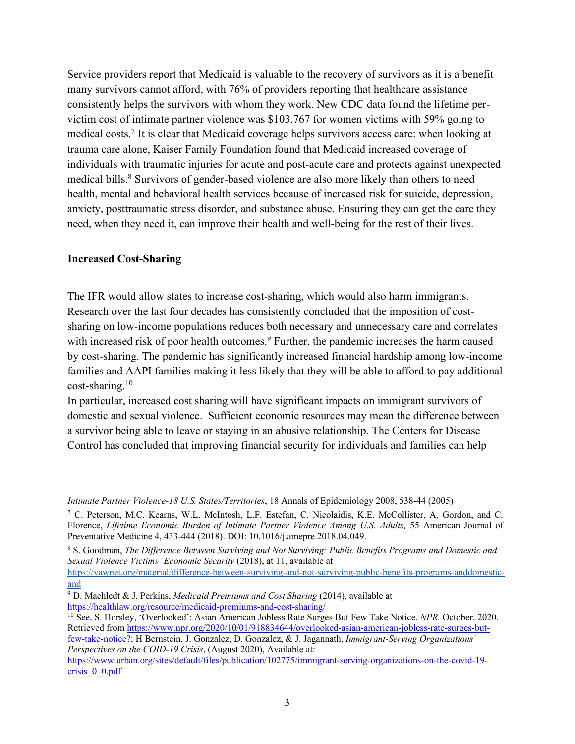Service providers report that Medicaid is valuable to the recovery of survivors as it is a benefit many survivors cannot afford, with 76% of providers reporting that healthcare assistance consistently helps the survivors with whom they work. New CDC data found the lifetime pervictim cost of intimate partner violence was \$103,767 for women victims with 59% going to medical costs.7 It is clear that Medicaid coverage helps survivors access care: when looking at trauma care alone, Kaiser Family Foundation found that Medicaid increased coverage of individuals with traumatic injuries for acute and post-acute care and protects against unexpected medical bills.<sup>8</sup> Survivors of gender-based violence are also more likely than others to need health, mental and behavioral health services because of increased risk for suicide, depression, anxiety, posttraumatic stress disorder, and substance abuse. Ensuring they can get the care they need, when they need it, can improve their health and well-being for the rest of their lives.

#### **Increased Cost-Sharing**

The IFR would allow states to increase cost-sharing, which would also harm immigrants. Research over the last four decades has consistently concluded that the imposition of costsharing on low-income populations reduces both necessary and unnecessary care and correlates with increased risk of poor health outcomes.<sup>9</sup> Further, the pandemic increases the harm caused by cost-sharing. The pandemic has significantly increased financial hardship among low-income families and AAPI families making it less likely that they will be able to afford to pay additional  $cost\text{-}sharing.<sup>10</sup>$ 

In particular, increased cost sharing will have significant impacts on immigrant survivors of domestic and sexual violence. Sufficient economic resources may mean the difference between a survivor being able to leave or staying in an abusive relationship. The Centers for Disease Control has concluded that improving financial security for individuals and families can help

few-take-notice?; H Bernstein, J. Gonzalez, D. Gonzalez, & J. Jagannath, *Immigrant-Serving Organizations' Perspectives on the COID-19 Crisis*, (August 2020), Available at:

*Intimate Partner Violence-18 U.S. States/Territories*, 18 Annals of Epidemiology 2008, 538-44 (2005)

<sup>7</sup> C. Peterson, M.C. Kearns, W.L. McIntosh, L.F. Estefan, C. Nicolaidis, K.E. McCollister, A. Gordon, and C. Florence, *Lifetime Economic Burden of Intimate Partner Violence Among U.S. Adults,* 55 American Journal of Preventative Medicine 4, 433-444 (2018). DOI: 10.1016/j.amepre.2018.04.049.

<sup>8</sup> S. Goodman, *The Difference Between Surviving and Not Surviving: Public Benefits Programs and Domestic and Sexual Violence Victims' Economic Security* (2018), at 11, available at

https://vawnet.org/material/difference-between-surviving-and-not-surviving-public-benefits-programs-anddomesticand

<sup>9</sup> D. Machledt & J. Perkins, *Medicaid Premiums and Cost Sharing* (2014), available at https://healthlaw.org/resource/medicaid-premiums-and-cost-sharing/

<sup>10</sup> See, S. Horsley, 'Overlooked': Asian American Jobless Rate Surges But Few Take Notice. *NPR.* October, 2020. Retrieved from https://www.npr.org/2020/10/01/918834644/overlooked-asian-american-jobless-rate-surges-but-

https://www.urban.org/sites/default/files/publication/102775/immigrant-serving-organizations-on-the-covid-19 crisis 0 0.pdf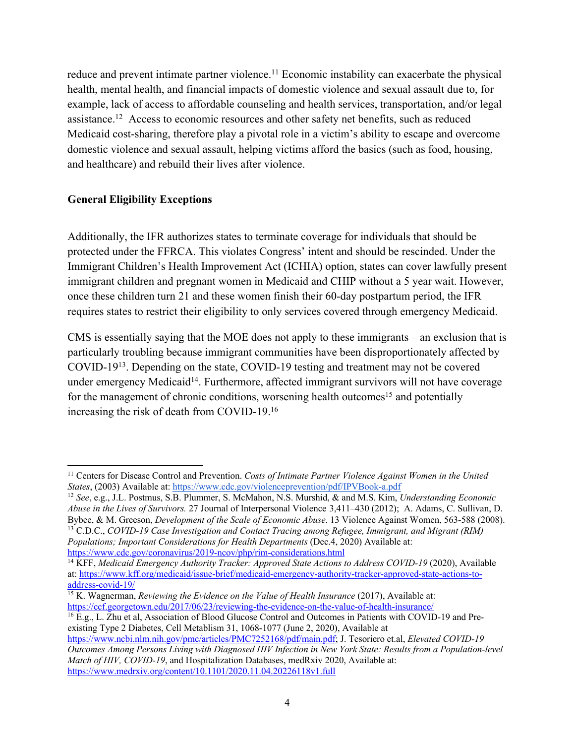reduce and prevent intimate partner violence.<sup>11</sup> Economic instability can exacerbate the physical health, mental health, and financial impacts of domestic violence and sexual assault due to, for example, lack of access to affordable counseling and health services, transportation, and/or legal assistance.<sup>12</sup> Access to economic resources and other safety net benefits, such as reduced Medicaid cost-sharing, therefore play a pivotal role in a victim's ability to escape and overcome domestic violence and sexual assault, helping victims afford the basics (such as food, housing, and healthcare) and rebuild their lives after violence.

## **General Eligibility Exceptions**

Additionally, the IFR authorizes states to terminate coverage for individuals that should be protected under the FFRCA. This violates Congress' intent and should be rescinded. Under the Immigrant Children's Health Improvement Act (ICHIA) option, states can cover lawfully present immigrant children and pregnant women in Medicaid and CHIP without a 5 year wait. However, once these children turn 21 and these women finish their 60-day postpartum period, the IFR requires states to restrict their eligibility to only services covered through emergency Medicaid.

CMS is essentially saying that the MOE does not apply to these immigrants – an exclusion that is particularly troubling because immigrant communities have been disproportionately affected by COVID-1913. Depending on the state, COVID-19 testing and treatment may not be covered under emergency Medicaid<sup>14</sup>. Furthermore, affected immigrant survivors will not have coverage for the management of chronic conditions, worsening health outcomes<sup>15</sup> and potentially increasing the risk of death from COVID-19.16

<sup>&</sup>lt;sup>11</sup> Centers for Disease Control and Prevention. *Costs of Intimate Partner Violence Against Women in the United States*, (2003) Available at: https://www.cdc.gov/violenceprevention/pdf/IPVBook-a.pdf

<sup>12</sup> *See*, e.g., J.L. Postmus, S.B. Plummer, S. McMahon, N.S. Murshid, & and M.S. Kim, *Understanding Economic Abuse in the Lives of Survivors.* 27 Journal of Interpersonal Violence 3,411–430 (2012); A. Adams, C. Sullivan, D. <sup>13</sup> C.D.C., COVID-19 Case Investigation and Contact Tracing among Refugee, Immigrant, and Migrant (RIM) *Populations; Important Considerations for Health Departments* (Dec.4, 2020) Available at:

https://www.cdc.gov/coronavirus/2019-ncov/php/rim-considerations.html

<sup>14</sup> KFF, *Medicaid Emergency Authority Tracker: Approved State Actions to Address COVID-19* (2020), Available at: https://www.kff.org/medicaid/issue-brief/medicaid-emergency-authority-tracker-approved-state-actions-toaddress-covid-19/

<sup>&</sup>lt;sup>15</sup> K. Wagnerman, *Reviewing the Evidence on the Value of Health Insurance* (2017), Available at: https://ccf.georgetown.edu/2017/06/23/reviewing-the-evidence-on-the-value-of-health-insurance/

<sup>16</sup> E.g., L. Zhu et al, Association of Blood Glucose Control and Outcomes in Patients with COVID-19 and Preexisting Type 2 Diabetes, Cell Metablism 31, 1068-1077 (June 2, 2020), Available at

https://www.ncbi.nlm.nih.gov/pmc/articles/PMC7252168/pdf/main.pdf; J. Tesoriero et.al, *Elevated COVID-19 Outcomes Among Persons Living with Diagnosed HIV Infection in New York State: Results from a Population-level Match of HIV, COVID-19*, and Hospitalization Databases, medRxiv 2020, Available at: https://www.medrxiv.org/content/10.1101/2020.11.04.20226118v1.full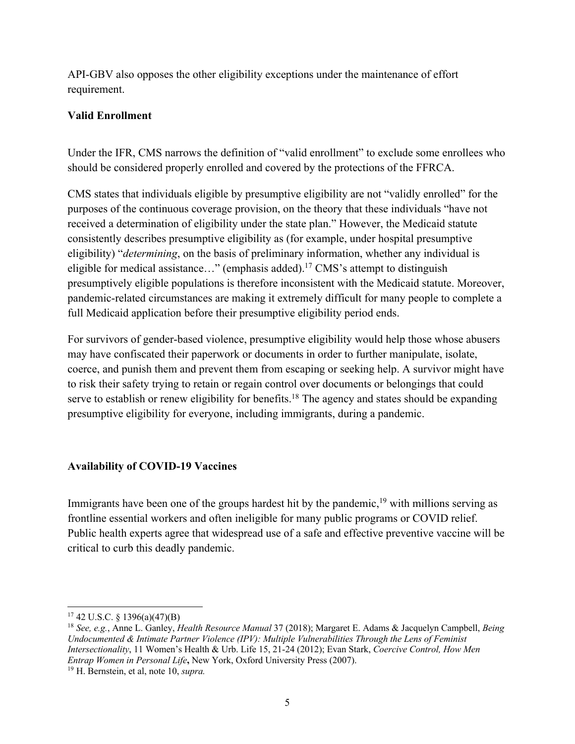API-GBV also opposes the other eligibility exceptions under the maintenance of effort requirement.

## **Valid Enrollment**

Under the IFR, CMS narrows the definition of "valid enrollment" to exclude some enrollees who should be considered properly enrolled and covered by the protections of the FFRCA.

CMS states that individuals eligible by presumptive eligibility are not "validly enrolled" for the purposes of the continuous coverage provision, on the theory that these individuals "have not received a determination of eligibility under the state plan." However, the Medicaid statute consistently describes presumptive eligibility as (for example, under hospital presumptive eligibility) "*determining*, on the basis of preliminary information, whether any individual is eligible for medical assistance..." (emphasis added).<sup>17</sup> CMS's attempt to distinguish presumptively eligible populations is therefore inconsistent with the Medicaid statute. Moreover, pandemic-related circumstances are making it extremely difficult for many people to complete a full Medicaid application before their presumptive eligibility period ends.

For survivors of gender-based violence, presumptive eligibility would help those whose abusers may have confiscated their paperwork or documents in order to further manipulate, isolate, coerce, and punish them and prevent them from escaping or seeking help. A survivor might have to risk their safety trying to retain or regain control over documents or belongings that could serve to establish or renew eligibility for benefits.<sup>18</sup> The agency and states should be expanding presumptive eligibility for everyone, including immigrants, during a pandemic.

## **Availability of COVID-19 Vaccines**

Immigrants have been one of the groups hardest hit by the pandemic,<sup>19</sup> with millions serving as frontline essential workers and often ineligible for many public programs or COVID relief. Public health experts agree that widespread use of a safe and effective preventive vaccine will be critical to curb this deadly pandemic.

 $17$  42 U.S.C. § 1396(a)(47)(B)

<sup>18</sup> *See, e.g.*, Anne L. Ganley, *Health Resource Manual* 37 (2018); Margaret E. Adams & Jacquelyn Campbell, *Being Undocumented & Intimate Partner Violence (IPV): Multiple Vulnerabilities Through the Lens of Feminist Intersectionality*, 11 Women's Health & Urb. Life 15, 21-24 (2012); Evan Stark, *Coercive Control, How Men Entrap Women in Personal Life***,** New York, Oxford University Press (2007).

<sup>19</sup> H. Bernstein, et al, note 10, *supra.*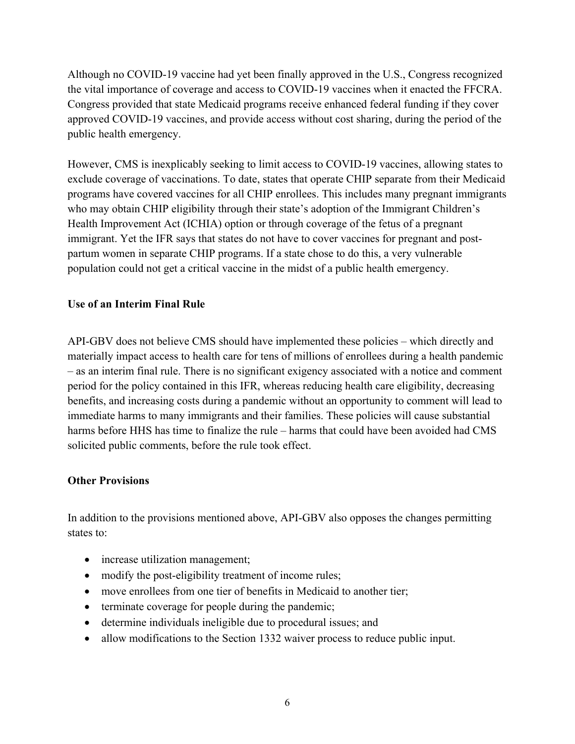Although no COVID-19 vaccine had yet been finally approved in the U.S., Congress recognized the vital importance of coverage and access to COVID-19 vaccines when it enacted the FFCRA. Congress provided that state Medicaid programs receive enhanced federal funding if they cover approved COVID-19 vaccines, and provide access without cost sharing, during the period of the public health emergency.

However, CMS is inexplicably seeking to limit access to COVID-19 vaccines, allowing states to exclude coverage of vaccinations. To date, states that operate CHIP separate from their Medicaid programs have covered vaccines for all CHIP enrollees. This includes many pregnant immigrants who may obtain CHIP eligibility through their state's adoption of the Immigrant Children's Health Improvement Act (ICHIA) option or through coverage of the fetus of a pregnant immigrant. Yet the IFR says that states do not have to cover vaccines for pregnant and postpartum women in separate CHIP programs. If a state chose to do this, a very vulnerable population could not get a critical vaccine in the midst of a public health emergency.

## **Use of an Interim Final Rule**

API-GBV does not believe CMS should have implemented these policies – which directly and materially impact access to health care for tens of millions of enrollees during a health pandemic – as an interim final rule. There is no significant exigency associated with a notice and comment period for the policy contained in this IFR, whereas reducing health care eligibility, decreasing benefits, and increasing costs during a pandemic without an opportunity to comment will lead to immediate harms to many immigrants and their families. These policies will cause substantial harms before HHS has time to finalize the rule – harms that could have been avoided had CMS solicited public comments, before the rule took effect.

## **Other Provisions**

In addition to the provisions mentioned above, API-GBV also opposes the changes permitting states to:

- increase utilization management;
- modify the post-eligibility treatment of income rules;
- move enrollees from one tier of benefits in Medicaid to another tier;
- terminate coverage for people during the pandemic;
- determine individuals ineligible due to procedural issues; and
- allow modifications to the Section 1332 waiver process to reduce public input.